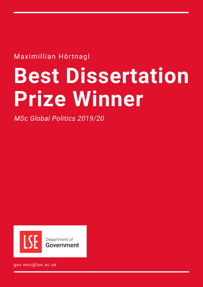Maximillian Hörtnagl

# **Best Dissertation Prize Winner**

*MSc Global Politics 2019/20*



gov.msc@lse.ac.uk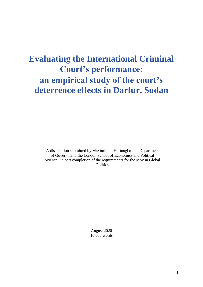# **Evaluating the International Criminal Court's performance: an empirical study of the court's deterrence effects in Darfur, Sudan**

A dissertation submitted by Maximillian Hortnagl to the Department of Government, the London School of Economics and Political Science, in part completion of the requirements for the MSc in Global **Politics** 

> August 2020 10 058 words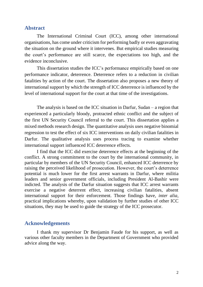## **Abstract**

The International Criminal Court (ICC), among other international organisations, has come under criticism for performing badly or even aggravating the situation on the ground where it intervenes. But empirical studies measuring the court's performance are still scarce, the expectations too high, and the evidence inconclusive.

This dissertation studies the ICC's performance empirically based on one performance indicator, deterrence. Deterrence refers to a reduction in civilian fatalities by action of the court. The dissertation also proposes a new theory of international support by which the strength of ICC deterrence is influenced by the level of international support for the court at that time of the investigations.

The analysis is based on the ICC situation in Darfur, Sudan – a region that experienced a particularly bloody, protracted ethnic conflict and the subject of the first UN Security Council referral to the court. This dissertation applies a mixed methods research design. The quantitative analysis uses negative binomial regression to test the effect of six ICC interventions on daily civilian fatalities in Darfur. The qualitative analysis uses process tracing to examine whether international support influenced ICC deterrence effects.

I find that the ICC did exercise deterrence effects at the beginning of the conflict. A strong commitment to the court by the international community, in particular by members of the UN Security Council, enhanced ICC deterrence by raising the perceived likelihood of prosecution. However, the court's deterrence potential is much lower for the first arrest warrants in Darfur, where militia leaders and senior government officials, including President Al-Bashir were indicted. The analysis of the Darfur situation suggests that ICC arrest warrants exercise a negative deterrent effect, increasing civilian fatalities, absent international support for their enforcement. Those findings have, *inter alia*, practical implications whereby, upon validation by further studies of other ICC situations, they may be used to guide the strategy of the ICC prosecutor.

# **Acknowledgements**

I thank my supervisor Dr Benjamin Faude for his support, as well as various other faculty members in the Department of Government who provided advice along the way.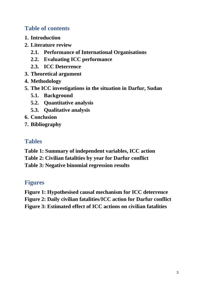# **Table of contents**

- **1. [Introduction](#page-4-0)**
- **2. [Literature review](#page-7-0)**
	- **2.1. [Performance of International Organisations](#page-7-1)**
	- **2.2. Evaluating [ICC performance](#page-7-2)**
	- **2.3. [ICC Deterrence](#page-9-0)**
- **3. [Theoretical argument](#page-15-0)**
- **4. [Methodology](#page-17-0)**
- **5. [The ICC investigations in the situation in Darfur, Sudan](#page-23-0)**
	- **5.1. [Background](#page-23-1)**
	- **5.2. [Quantitative analysis](#page-26-0)**
	- **5.3. [Qualitative](#page-29-0) analysis**
- **6. [Conclusion](#page-37-0)**
- **7. [Bibliography](#page-40-0)**

# **Tables**

- **[Table 1: Summary of independent variables, ICC action](#page-19-0)**
- **[Table 2: Civilian fatalities by year for Darfur conflict](#page-24-0)**
- **[Table 3: Negative binomial regression results](#page-26-1)**

# **Figures**

- **[Figure 1: Hypothesised causal mechanism for ICC deterrence](#page-22-0)**
- **[Figure 2: Daily civilian fatalities/ICC action for Darfur conflict](#page-25-0)**
- **[Figure 3: Estimated effect of ICC actions on civilian fatalities](#page-28-0)**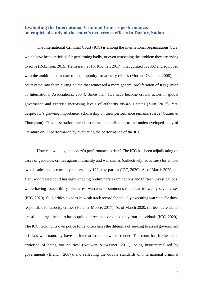## <span id="page-4-0"></span>**Evaluating the International Criminal Court's performance: an empirical study of the court's deterrence effects in Darfur, Sudan**

The International Criminal Court (ICC) is among the international organisations (IOs) which have been criticised for performing badly, or even worsening the problem they are trying to solve (Robinson, 2015; Tiemessen, 2016; Köchler, 2017). Inaugurated in 2002 and equipped with the ambitious mandate to end impunity for atrocity crimes (Moreno-Ocampo, 2008), the court came into force during a time that witnessed a more general proliferation of IOs (Union of International Associations, 2004). Since then, IOs have become crucial actors in global governance and exercise increasing levels of authority vis-à-vis states (Zürn, 2013). Yet, despite IO's growing importance, scholarship on their performance remains scarce (Gutner & Thompson). This dissertation intends to make a contribution to the underdeveloped body of literature on IO performance by evaluating the performance of the ICC.

How can we judge the court's performance to date? The ICC has been adjudicating on cases of genocide, crimes against humanity and war crimes (collectively: atrocities) for almost two decades and is currently endorsed by 122 state parties (ICC, 2020). As of March 2020, the *Den Haag* based court has eight ongoing preliminary examinations and thirteen investigations, while having issued thirty-four arrest warrants or summons to appear in twenty-seven cases (ICC, 2020). Still, critics point to its weak track record for actually executing warrants for those responsible for atrocity crimes (Hatcher-Moore, 2017). As of March 2020, thirteen defendants are still at large, the court has acquitted three and convicted only four individuals (ICC, 2020). The ICC, lacking its own police force, often faces the dilemma of seeking to arrest government officials who naturally have no interest in their own surrender. The court has further been criticised of being too political (Nouwen & Werner, 2011), being instrumentalised by governments (Branch, 2007), and reflecting the double standards of international criminal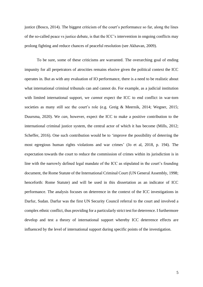justice (Bosco, 2014). The biggest criticism of the court's performance so far, along the lines of the so-called peace vs justice debate, is that the ICC's intervention in ongoing conflicts may prolong fighting and reduce chances of peaceful resolution (see Akhavan, 2009).

To be sure, some of these criticisms are warranted. The overarching goal of ending impunity for all perpetrators of atrocities remains elusive given the political context the ICC operates in. But as with any evaluation of IO performance, there is a need to be realistic about what international criminal tribunals can and cannot do. For example, as a judicial institution with limited international support, we *cannot* expect the ICC to end conflict in war-torn societies as many still see the court's role (e.g. Greig & Meernik, 2014; Wegner, 2015; Duursma, 2020). We *can*, however, expect the ICC to make a positive contribution to the international criminal justice system, the central actor of which it has become (Mills, 2012; Scheffer, 2016). One such contribution would be to 'improve the possibility of deterring the most egregious human rights violations and war crimes' (Jo et al, 2018, p. 194). The expectation towards the court to reduce the commission of crimes within its jurisdiction is in line with the narrowly defined legal mandate of the ICC as stipulated in the court's founding document, the Rome Statute of the International Criminal Court (UN General Assembly, 1998; henceforth: Rome Statute) and will be used in this dissertation as an indicator of ICC performance. The analysis focuses on deterrence in the context of the ICC investigations in Darfur, Sudan. Darfur was the first UN Security Council referral to the court and involved a complex ethnic conflict, thus providing for a particularly strict test for deterrence. I furthermore develop and test a theory of international support whereby ICC deterrence effects are influenced by the level of international support during specific points of the investigation.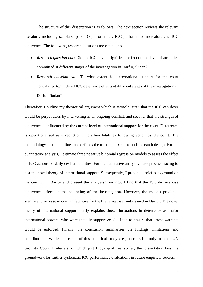The structure of this dissertation is as follows. The next section reviews the relevant literature, including scholarship on IO performance, ICC performance indicators and ICC deterrence. The following research questions are established:

- *Research question one*: Did the ICC have a significant effect on the level of atrocities committed at different stages of the investigation in Darfur, Sudan?
- *Research question two*: To what extent has international support for the court contributed to/hindered ICC deterrence effects at different stages of the investigation in Darfur, Sudan?

Thereafter, I outline my theoretical argument which is twofold: first, that the ICC can deter would-be perpetrators by intervening in an ongoing conflict, and second, that the strength of deterrence is influenced by the current level of international support for the court. Deterrence is operationalised as a reduction in civilian fatalities following action by the court. The methodology section outlines and defends the use of a mixed methods research design. For the quantitative analysis, I estimate three negative binomial regression models to assess the effect of ICC actions on daily civilian fatalities. For the qualitative analysis, I use process tracing to test the novel theory of international support. Subsequently, I provide a brief background on the conflict in Darfur and present the analyses' findings. I find that the ICC did exercise deterrence effects at the beginning of the investigation. However, the models predict a significant increase in civilian fatalities for the first arrest warrants issued in Darfur. The novel theory of international support partly explains those fluctuations in deterrence as major international powers, who were initially supportive, did little to ensure that arrest warrants would be enforced. Finally, the conclusion summarises the findings, limitations and contributions. While the results of this empirical study are generalizable only to other UN Security Council referrals, of which just Libya qualifies, so far, this dissertation lays the groundwork for further systematic ICC performance evaluations in future empirical studies.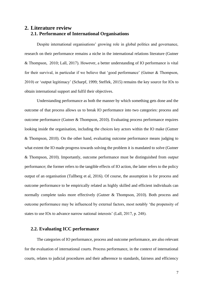## <span id="page-7-1"></span><span id="page-7-0"></span>**2. Literature review 2.1. Performance of International Organisations**

Despite international organisations' growing role in global politics and governance, research on their performance remains a niche in the international relations literature (Gutner & Thompson, 2010; Lall, 2017). However, a better understanding of IO performance is vital for their survival, in particular if we believe that 'good performance' (Gutner & Thompson, 2010) or 'output legitimacy' (Scharpf, 1999; Steffek, 2015) remains the key source for IOs to obtain international support and fulfil their objectives.

Understanding performance as both the manner by which something gets done and the outcome of that process allows us to break IO performance into two categories: process and outcome performance (Gutner & Thompson, 2010). Evaluating process performance requires looking inside the organisation, including the choices key actors within the IO make (Gutner & Thompson, 2010). On the other hand, evaluating outcome performance means judging to what extent the IO made progress towards solving the problem it is mandated to solve (Gutner & Thompson, 2010). Importantly, outcome performance must be distinguished from *output* performance; the former refers to the tangible effects of IO action, the latter refers to the policy output of an organisation (Tallberg et al, 2016). Of course, the assumption is for process and outcome performance to be empirically related as highly skilled and efficient individuals can normally complete tasks more effectively (Gutner & Thompson, 2010). Both process and outcome performance may be influenced by external factors, most notably 'the propensity of states to use IOs to advance narrow national interests' (Lall, 2017, p. 248).

#### <span id="page-7-2"></span>**2.2. Evaluating ICC performance**

The categories of IO performance, process and outcome performance, are also relevant for the evaluation of international courts. Process performance, in the context of international courts, relates to judicial procedures and their adherence to standards, fairness and efficiency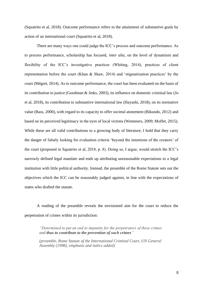(Squatrito et al, 2018). Outcome performance refers to the attainment of substantive goals by action of an international court (Squatrito et al, 2018).

There are many ways one could judge the ICC's process and outcome performance. As to process performance, scholarship has focused, *inter alia*, on the level of dynamism and flexibility of the ICC's investigative practices (Whiting, 2014), practices of client representation before the court (Khan & Shaw, 2014) and 'stigmatization practices' by the court (Mégret, 2014). As to outcome performance, the court has been evaluated on the basis of its contribution to justice (Goodman & Jinks, 2003), its influence on domestic criminal law (Jo et al, 2018), its contribution to substantive international law (Hayashi, 2018), on its normative value (Bass, 2000), with regard to its capacity to offer societal atonement (Bikundo, 2012) and based on its perceived legitimacy in the eyes of local victims (Wemmers, 2009; Moffet, 2015). While these are all valid contributions to a growing body of literature, I hold that they carry the danger of falsely looking for evaluation criteria 'beyond the intentions of the creators' of the court (proposed in Squatrito et al, 2018, p. 8). Doing so, I argue, would stretch the ICC's narrowly defined legal mandate and ends up attributing unreasonable expectations to a legal institution with little political authority. Instead, the preamble of the Rome Statute sets out the objectives which the ICC can be reasonably judged against, in line with the expectations of states who drafted the statute.

A reading of the preamble reveals the envisioned aim for the court to reduce the perpetration of crimes within its jurisdiction:

*"Determined to put an end to impunity for the perpetrators of these crimes and thus to contribute to the prevention of such crimes"*

*(preamble, Rome Statute of the International Criminal Court, UN General Assembly (1998); emphasis and italics added)*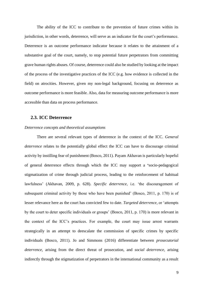The ability of the ICC to contribute to the prevention of future crimes within its jurisdiction, in other words, deterrence, will serve as an indicator for the court's performance. Deterrence is an outcome performance indicator because it relates to the attainment of a substantive goal of the court, namely, to stop potential future perpetrators from committing grave human rights abuses. Of course, deterrence could also be studied by looking at the impact of the process of the investigative practices of the ICC (e.g. how evidence is collected in the field) on atrocities. However, given my non-legal background, focusing on deterrence as outcome performance is more feasible. Also, data for measuring outcome performance is more accessible than data on process performance.

#### <span id="page-9-0"></span>**2.3. ICC Deterrence**

#### *Deterrence concepts and theoretical assumptions*

There are several relevant types of deterrence in the context of the ICC. *General deterrence* relates to the potentially global effect the ICC can have to discourage criminal activity by instilling fear of punishment (Bosco, 2011). Payam Akhavan is particularly hopeful of general deterrence effects through which the ICC may support a **'**socio-pedagogical stigmatization of crime through judicial process, leading to the reinforcement of habitual lawfulness' (Akhavan, 2009, p. 628). *Specific deterrence*, i.e. 'the discouragement of subsequent criminal activity by those who have been punished' (Bosco, 2011, p. 170) is of lesser relevance here as the court has convicted few to date. *Targeted deterrence,* or 'attempts by the court to deter specific individuals or groups' (Bosco, 2011, p. 170) is more relevant in the context of the ICC's practices. For example, the court may issue arrest warrants strategically in an attempt to deescalate the commission of specific crimes by specific individuals (Bosco, 2011). Jo and Simmons (2016) differentiate between *prosecutorial deterrence,* arising from the direct threat of prosecution*,* and *social deterrence,* arising indirectly through the stigmatization of perpetrators in the international community as a result

9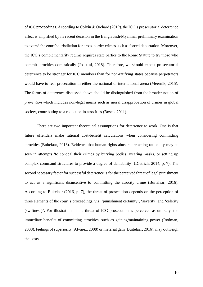of ICC proceedings. According to Colvin & Orchard (2019), the ICC's prosecutorial deterrence effect is amplified by its recent decision in the Bangladesh/Myanmar preliminary examination to extend the court's jurisdiction for cross-border crimes such as forced deportation. Moreover, the ICC's complementarity regime requires state parties to the Rome Statute to try those who commit atrocities domestically (Jo et al, 2018). Therefore, we should expect prosecutorial deterrence to be stronger for ICC members than for non-ratifying states because perpetrators would have to fear prosecution in either the national or international arena (Meernik, 2015). The forms of deterrence discussed above should be distinguished from the broader notion of *prevention* which includes non-legal means such as moral disapprobation of crimes in global society, contributing to a reduction in atrocities (Bosco, 2011).

There are two important theoretical assumptions for deterrence to work. One is that future offenders make rational cost-benefit calculations when considering committing atrocities (Buitelaar, 2016). Evidence that human rights abusers are acting rationally may be seen in attempts 'to conceal their crimes by burying bodies, wearing masks, or setting up complex command structures to provide a degree of deniability' (Dietrich, 2014, p. 7). The second necessary factor for successful deterrence is for the perceived threat of legal punishment to act as a significant disincentive to committing the atrocity crime (Buitelaar, 2016). According to Buitelaar (2016, p. 7), the threat of prosecution depends on the perception of three elements of the court's proceedings, viz. 'punishment certainty', 'severity' and 'celerity (swiftness)'. For illustration: if the threat of ICC prosecution is perceived as unlikely, the immediate benefits of committing atrocities, such as gaining/maintaining power (Rodman, 2008), feelings of superiority (Alvarez, 2008) or material gain (Buitelaar, 2016), may outweigh the costs.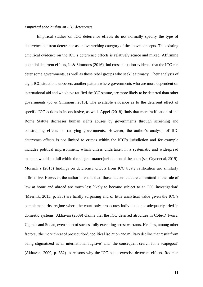#### *Empirical scholarship on ICC deterrence*

Empirical studies on ICC deterrence effects do not normally specify the type of deterrence but treat deterrence as an overarching category of the above concepts. The existing empirical evidence on the ICC's deterrence effects is relatively scarce and mixed. Affirming potential deterrent effects, Jo & Simmons (2016) find cross-situation evidence that the ICC can deter some governments, as well as those rebel groups who seek legitimacy. Their analysis of eight ICC situations uncovers another pattern where governments who are more dependent on international aid and who have ratified the ICC statute, are more likely to be deterred than other governments (Jo & Simmons, 2016). The available evidence as to the deterrent effect of specific ICC actions is inconclusive, as well. Appel (2018) finds that mere ratification of the Rome Statute decreases human rights abuses by governments through screening and constraining effects on ratifying governments. However, the author's analysis of ICC deterrence effects is not limited to crimes within the ICC's jurisdiction and for example includes political imprisonment; which unless undertaken in a systematic and widespread manner, would not fall within the subject-matter jurisdiction of the court (see Cryer et al, 2019). Meernik's (2015) findings on deterrence effects from ICC treaty ratification are similarly affirmative. However, the author's results that 'those nations that are committed to the rule of law at home and abroad are much less likely to become subject to an ICC investigation' (Meernik, 2015, p. 335) are hardly surprising and of little analytical value given the ICC's complementarity regime where the court only prosecutes individuals not adequately tried in domestic systems. Akhavan (2009) claims that the ICC deterred atrocities in Côte-D'Ivoire, Uganda and Sudan, even short of successfully executing arrest warrants. He cites, among other factors, 'the mere threat of prosecution', 'political isolation and military decline that result from being stigmatized as an international fugitive' and 'the consequent search for a scapegoat' (Akhavan, 2009, p. 652) as reasons why the ICC could exercise deterrent effects. Rodman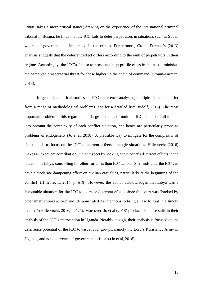(2008) takes a more critical stance; drawing on the experience of the international criminal tribunal in Bosnia, he finds that the ICC fails to deter perpetrators in situations such as Sudan where the government is implicated in the crimes. Furthermore, Cronin-Furman's (2013) analysis suggests that the deterrent effect differs according to the rank of perpetrators in their regime. Accordingly, the ICC's failure to prosecute high profile cases in the past diminishes the perceived prosecutorial threat for those higher up the chain of command (Cronin-Furman, 2013).

In general, empirical studies on ICC deterrence analysing multiple situations suffer from a range of methodological problems (see for a detailed list: Rudolf, 2016). The most important problem in this regard is that large-n studies of multiple ICC situations fail to take into account the complexity of each conflict situation, and hence are particularly prone to problems of endogeneity (Jo et al, 2018). A plausible way to mitigate for the complexity of situations is to focus on the ICC's deterrent effects in single situations. Hillebrecht (2016) makes an excellent contribution in that respect by looking at the court's deterrent effects in the situation in Libya, controlling for other variables than ICC actions. She finds that 'the ICC can have a moderate dampening effect on civilian casualties, particularly at the beginning of the conflict' (Hillebrecht, 2016, p. 618). However, the author acknowledges that Libya was a favourable situation for the ICC to exercise deterrent effects since the court was 'backed by other international actors' and 'demonstrated its intentions to bring a case to trial in a timely manner' (Hillebrecht, 2016, p. 625). Moreover, Jo et al (2018) produce similar results in their analysis of the ICC's intervention in Uganda. Notably though, their analysis is focused on the deterrence potential of the ICC towards rebel groups, namely the Lord's Resistance Army in Uganda, and not deterrence of government officials (Jo et al, 2018).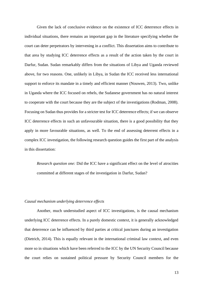Given the lack of conclusive evidence on the existence of ICC deterrence effects in individual situations, there remains an important gap in the literature specifying whether the court can deter perpetrators by intervening in a conflict. This dissertation aims to contribute to that area by studying ICC deterrence effects as a result of the action taken by the court in Darfur, Sudan. Sudan remarkably differs from the situations of Libya and Uganda reviewed above, for two reasons. One, unlikely in Libya, in Sudan the ICC received less international support to enforce its mandate in a timely and efficient manner (Nouwen, 2013). Two, unlike in Uganda where the ICC focused on rebels, the Sudanese government has no natural interest to cooperate with the court because they are the subject of the investigations (Rodman, 2008). Focusing on Sudan thus provides for a stricter test for ICC deterrence effects; if we can observe ICC deterrence effects in such an unfavourable situation, there is a good possibility that they apply in more favourable situations, as well. To the end of assessing deterrent effects in a complex ICC investigation, the following research question guides the first part of the analysis in this dissertation:

*Research question one:* Did the ICC have a significant effect on the level of atrocities committed at different stages of the investigation in Darfur, Sudan?

#### *Causal mechanism underlying deterrence effects*

Another, much understudied aspect of ICC investigations, is the causal mechanism underlying ICC deterrence effects. In a purely domestic context, it is generally acknowledged that deterrence can be influenced by third parties at critical junctures during an investigation (Dietrich, 2014). This is equally relevant in the international criminal law context, and even more so in situations which have been referred to the ICC by the UN Security Council because the court relies on sustained political pressure by Security Council members for the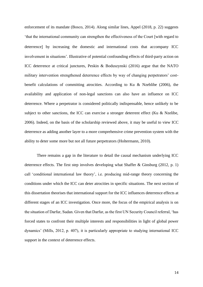enforcement of its mandate (Bosco, 2014). Along similar lines, Appel (2018, p. 22) suggests 'that the international community can strengthen the effectiveness of the Court [with regard to deterrence) by increasing the domestic and international costs that accompany ICC involvement in situations'. Illustrative of potential confounding effects of third-party action on ICC deterrence at critical junctures, Peskin & Boduszynski (2016) argue that the NATO military intervention strengthened deterrence effects by way of changing perpetrators' costbenefit calculations of committing atrocities. According to Ku & Nzeblibe (2006), the availability and application of non-legal sanctions can also have an influence on ICC deterrence. Where a perpetrator is considered politically indispensable, hence unlikely to be subject to other sanctions, the ICC can exercise a stronger deterrent effect (Ku & Nzelibe, 2006). Indeed, on the basis of the scholarship reviewed above, it may be useful to view ICC deterrence as adding another layer to a more comprehensive crime prevention system with the ability to deter some more but not all future perpetrators (Holtermann, 2010).

There remains a gap in the literature to detail the causal mechanism underlying ICC deterrence effects. The first step involves developing what Shaffer & Ginsburg (2012, p. 1) call 'conditional international law theory', i.e. producing mid-range theory concerning the conditions under which the ICC can deter atrocities in specific situations. The next section of this dissertation theorises that international support for the ICC influences deterrence effects at different stages of an ICC investigation. Once more, the focus of the empirical analysis is on the situation of Darfur, Sudan. Given that Darfur, as the first UN Security Council referral, 'has forced states to confront their multiple interests and responsibilities in light of global power dynamics' (Mills, 2012, p. 407), it is particularly appropriate to studying international ICC support in the context of deterrence effects.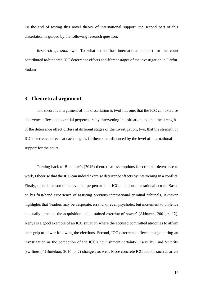To the end of testing this novel theory of international support, the second part of this dissertation is guided by the following research question:

*Research question two:* To what extent has international support for the court contributed to/hindered ICC deterrence effects at different stages of the investigation in Darfur, Sudan?

## <span id="page-15-0"></span>**3. Theoretical argument**

The theoretical argument of this dissertation is twofold: one, that the ICC can exercise deterrence effects on potential perpetrators by intervening in a situation and that the strength of the deterrence effect differs at different stages of the investigation; two, that the strength of ICC deterrence effects at each stage is furthermore influenced by the level of international support for the court.

Turning back to Buitelaar's (2016) theoretical assumptions for criminal deterrence to work, I theorise that the ICC can indeed exercise deterrence effects by intervening in a conflict. Firstly, there is reason to believe that perpetrators in ICC situations are rational actors. Based on his first-hand experience of assisting previous international criminal tribunals, Akhavan highlights that 'leaders may be desperate, erratic, or even psychotic, but incitement to violence is usually aimed at the acquisition and sustained exercise of power' (Akhavan, 2001, p. 12). Kenya is a good example of an ICC situation where the accused committed atrocities to affirm their grip to power following the elections. Second, ICC deterrence effects change during an investigation as the perception of the ICC's 'punishment certainty', 'severity' and 'celerity (swiftness)' (Buitelaar, 2016, p. 7) changes, as well. More concrete ICC actions such as arrest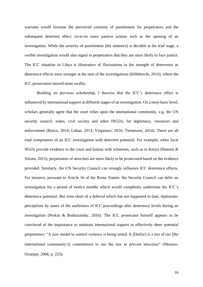warrants would increase the perceived certainty of punishment for perpetrators and the subsequent deterrent effect *vis-à-vis* more passive actions such as the opening of an investigation. While the severity of punishment (the sentence) is decided at the trial stage, a swifter investigation would also signal to perpetrators that they are more likely to face justice. The ICC situation in Libya is illustrative of fluctuations in the strength of deterrence as deterrence effects were stronger at the start of the investigations (Hillebrecht, 2016), where the ICC prosecution moved more swiftly.

Building on previous scholarship, I theorise that the ICC's deterrence effect is influenced by international support at different stages of an investigation. On a most basic level, scholars generally agree that the court relies upon the international community, e.g. the UN security council, states, civil society and other INGOs, for legitimacy, resources and enforcement (Bosco, 2014; Luban, 2013; Vinjamuri, 2016; Tiemessen, 2014). These are all vital components of an ICC investigation with deterrent potential. For example, when local NGOs provide evidence to the court and liaison with witnesses, such as in Kenya (Hansen & Sriram, 2015), perpetrators of atrocities are more likely to be prosecuted based on the evidence provided. Similarly, the UN Security Council can strongly influence ICC deterrence effects. For instance, pursuant to Article 16 of the Rome Statute, the Security Council can defer an investigation for a period of twelve months which would completely undermine the ICC's deterrence potential. But even short of a deferral which has not happened to date, diplomatic perceptions by states of the usefulness of ICC proceedings alter deterrence levels during an investigation (Peskin & Boduszinsky, 2016). The ICC prosecutor himself appears to be convinced of the importance to maintain international support to effectively deter potential perpetrators: "A new model to control violence is being tested. It [Darfur] is a test of our [the international community's commitment to use the law to prevent atrocities (Moreno-Ocampo, 2008, p. 223).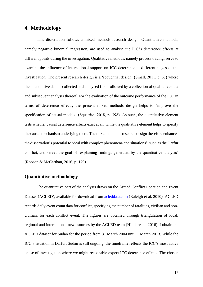# <span id="page-17-0"></span>**4. Methodology**

This dissertation follows a mixed methods research design. Quantitative methods, namely negative binomial regression, are used to analyse the ICC's deterrence effects at different points during the investigation. Qualitative methods, namely process tracing, serve to examine the influence of international support on ICC deterrence at different stages of the investigation. The present research design is a 'sequential design' (Small, 2011, p. 67) where the quantitative data is collected and analysed first, followed by a collection of qualitative data and subsequent analysis thereof. For the evaluation of the outcome performance of the ICC in terms of deterrence effects, the present mixed methods design helps to 'improve the specification of causal models' (Squatrito, 2018, p. 398). As such, the quantitative element tests whether causal deterrence effects exist at all, while the qualitative element helps to specify the causal mechanism underlying them. The mixed methods research design therefore enhances the dissertation's potential to 'deal with complex phenomena and situations', such as the Darfur conflict, and serves the goal of 'explaining findings generated by the quantitative analysis' (Robson & McCarthan, 2016, p. 179).

#### **Quantitative methodology**

The quantitative part of the analysis draws on the Armed Conflict Location and Event Dataset (ACLED), available for download from [acleddata.com](http://acleddata.com/) (Raleigh et al, 2010). ACLED records daily event count data for conflict, specifying the number of fatalities, civilian and noncivilian, for each conflict event. The figures are obtained through triangulation of local, regional and international news sources by the ACLED team (Hillebrecht, 2016). I obtain the ACLED dataset for Sudan for the period from 31 March 2004 until 1 March 2013. While the ICC's situation in Darfur, Sudan is still ongoing, the timeframe reflects the ICC's most active phase of investigation where we might reasonable expect ICC deterrence effects. The chosen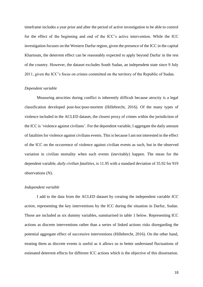timeframe includes a year prior and after the period of active investigation to be able to control for the effect of the beginning and end of the ICC's active intervention. While the ICC investigation focuses on the Western Darfur region, given the presence of the ICC in the capital Khartoum, the deterrent effect can be reasonably expected to apply beyond Darfur in the rest of the country. However, the dataset excludes South Sudan, an independent state since 9 July 2011, given the ICC's focus on crimes committed on the territory of the Republic of Sudan.

#### *Dependent variable*

Measuring atrocities during conflict is inherently difficult because atrocity is a legal classification developed post-hoc/post-mortem (Hillebrecht, 2016). Of the many types of violence included in the ACLED dataset, the closest proxy of crimes within the jurisdiction of the ICC is 'violence against civilians'*.* For the dependent variable, I aggregate the daily amount of fatalities for violence against civilians events. This is because I am not interested in the effect of the ICC on the occurrence of violence against civilian events as such, but in the observed variation in civilian mortality when such events (inevitably) happen. The mean for the dependent variable, *daily civilian fatalities*, is 11.95 with a standard deviation of 35.92 for 919 observations (N).

#### *Independent variable*

I add to the data from the ACLED dataset by creating the independent variable *ICC action*, representing the key interventions by the ICC during the situation in Darfur, Sudan. Those are included as six dummy variables, summarised in table 1 below. Representing ICC actions as discrete interventions rather than a series of linked actions risks disregarding the potential aggregate effect of successive interventions (Hillebrecht, 2016). On the other hand, treating them as discrete events is useful as it allows us to better understand fluctuations of estimated deterrent effects for different ICC actions which is the objective of this dissertation.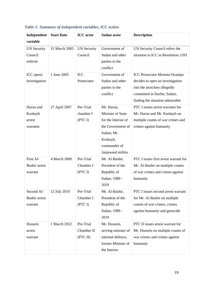| Independent          | <b>Start Date</b> | <b>ICC</b> actor   | <b>Sudan actor</b>  | <b>Description</b>                    |  |
|----------------------|-------------------|--------------------|---------------------|---------------------------------------|--|
| variable             |                   |                    |                     |                                       |  |
| <b>UN Security</b>   | 31 March 2005     | <b>UN Security</b> | Government of       | UN Security Council refers the        |  |
| Council              |                   | Council            | Sudan and other     | situation to ICC in Resolution 1593   |  |
| referral             |                   |                    | parties to the      |                                       |  |
|                      |                   |                    | conflict            |                                       |  |
| ICC opens            | 1 June 2005       | <b>ICC</b>         | Government of       | <b>ICC Prosecutor Moreno-Ocampo</b>   |  |
| investigation        |                   | Prosecutor         | Sudan and other     | decides to open an investigation      |  |
|                      |                   |                    | parties to the      | into the atrocities allegedly         |  |
|                      |                   |                    | conflict            | committed in Darfur, Sudan,           |  |
|                      |                   |                    |                     | finding the situation admissible      |  |
| Harun and            | 27 April 2007     | Pre-Trial          | Mr. Harun,          | PTC I issues arrest warrants for      |  |
| Kushayb              |                   | chamber I          | Minister of State   | Mr. Harun and Mr. Kushayb on          |  |
| arrest               |                   | (PTC I)            | for the Interior of | multiple counts of war crimes and     |  |
| warrants             |                   |                    | the Government of   | crimes against humanity               |  |
|                      |                   |                    | Sudan; Mr.          |                                       |  |
|                      |                   |                    | Kushayb,            |                                       |  |
|                      |                   |                    | commander of        |                                       |  |
|                      |                   |                    | Janjaweed militia   |                                       |  |
| First Al-            | 4 March 2009      | Pre-Trial          | Mr. Al-Bashir,      | PTC I issues first arrest warrant for |  |
| <b>Bashir arrest</b> |                   | Chamber I          | President of the    | Mr. Al-Bashir on multiple counts      |  |
| warrant              |                   | (PTC I)            | Republic of         | of war crimes and crimes against      |  |
|                      |                   |                    | Sudan, 1989 -       | humanity                              |  |
|                      |                   |                    | 2019                |                                       |  |
| Second Al-           | 12 July 2010      | Pre-Trial          | Mr. Al-Bashir,      | PTC I issues second arrest warrant    |  |
| <b>Bashir arrest</b> |                   | Chamber I          | President of the    | for Mr. Al-Bashir on multiple         |  |
| warrant              |                   | (PTC I)            | Republic of         | counts of war crimes, crimes          |  |
|                      |                   |                    | Sudan, 1989 -       | against humanity and genocide         |  |
|                      |                   |                    | 2019                |                                       |  |
| Hussein              | 1 March 2012      | Pre-Trial          | Mr. Hussein,        | PTC II issues arrest warrant for      |  |
| arrest               |                   | Chamber II         | serving minister of | Mr. Hussein on multiple counts of     |  |
| warrant              |                   | (PTC II)           | national defence,   | war crimes and crimes against         |  |
|                      |                   |                    | former Minister of  | humanity                              |  |
|                      |                   |                    | the Interior        |                                       |  |

# <span id="page-19-0"></span>*Table 1: Summary of independent variables, ICC action*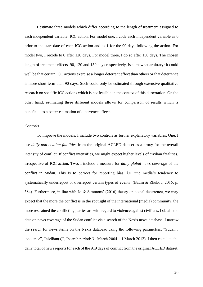I estimate three models which differ according to the length of treatment assigned to each independent variable, ICC action. For model one, I code each independent variable as 0 prior to the start date of each ICC action and as 1 for the 90 days following the action. For model two, I recode to 0 after 120 days. For model three, I do so after 150 days. The chosen length of treatment effects, 90, 120 and 150 days respectively, is somewhat arbitrary; it could well be that certain ICC actions exercise a longer deterrent effect than others or that deterrence is more short-term than 90 days. Such could only be estimated through extensive qualitative research on specific ICC actions which is not feasible in the context of this dissertation. On the other hand, estimating three different models allows for comparison of results which is beneficial to a better estimation of deterrence effects.

#### *Controls*

To improve the models, I include two controls as further explanatory variables. One, I use *daily non-civilian fatalities* from the original ACLED dataset as a proxy for the overall intensity of conflict. If conflict intensifies, we might expect higher levels of civilian fatalities, irrespective of ICC action. Two, I include a measure for *daily global news coverage* of the conflict in Sudan. This is to correct for reporting bias, i.e. 'the media's tendency to systematically underreport or overreport certain types of events' (Baum & Zhukov, 2015, p. 384). Furthermore, in line with Jo & Simmons' (2016) theory on social deterrence, we may expect that the more the conflict is in the spotlight of the international (media) community, the more restrained the conflicting parties are with regard to violence against civilians. I obtain the data on news coverage of the Sudan conflict via a search of the Nexis news database. I narrow the search for news items on the Nexis database using the following parameters: "Sudan", "violence", "civilian(s)", "search period: 31 March 2004 – 1 March 2013). I then calculate the daily total of news reports for each of the 919 days of conflict from the original ACLED dataset.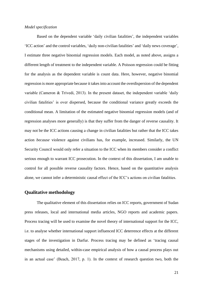#### *Model specification*

Based on the dependent variable 'daily civilian fatalities', the independent variables 'ICC action' and the control variables, 'daily non-civilian fatalities' and 'daily news coverage', I estimate three negative binomial regression models. Each model, as noted above, assigns a different length of treatment to the independent variable. A Poisson regression could be fitting for the analysis as the dependent variable is count data. Here, however, negative binomial regression is more appropriate because it takes into account the overdispersion of the dependent variable (Cameron & Trivedi, 2013). In the present dataset, the independent variable 'daily civilian fatalities' is over dispersed, because the conditional variance greatly exceeds the conditional mean. A limitation of the estimated negative binomial regression models (and of regression analyses more generally) is that they suffer from the danger of reverse causality. It may not be the ICC actions causing a change in civilian fatalities but rather that the ICC takes action *because* violence against civilians has, for example, increased. Similarly, the UN Security Council would only refer a situation to the ICC when its members consider a conflict serious enough to warrant ICC prosecution. In the context of this dissertation, I am unable to control for all possible reverse causality factors. Hence, based on the quantitative analysis alone, we cannot infer a deterministic causal effect of the ICC's actions on civilian fatalities.

#### **Qualitative methodology**

The qualitative element of this dissertation relies on ICC reports, government of Sudan press releases, local and international media articles, NGO reports and academic papers. Process tracing will be used to examine the novel theory of international support for the ICC, i.e. to analyse whether international support influenced ICC deterrence effects at the different stages of the investigation in Darfur. Process tracing may be defined as 'tracing causal mechanisms using detailed, within-case empirical analysis of how a causal process plays out in an actual case' (Beach, 2017, p. 1). In the context of research question two, both the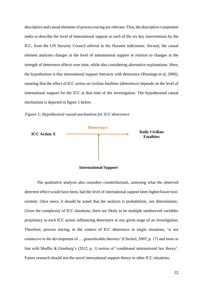descriptive and causal elements of process tracing are relevant. First, the descriptive component seeks to describe the level of international support at each of the six key interventions by the ICC, from the UN Security Council referral to the Hussein indictment. Second, the causal element analyses changes in the level of international support in relation to changes in the strength of deterrence effects over time, while also considering alternative explanations. Here, the hypothesises is that international support *interacts* with deterrence (Pennings et al, 2006), meaning that the effect of ICC action on civilian fatalities (deterrence) depends on the level of international support for the ICC at that time of the investigation. The hypothesised causal mechanism is depicted in figure 1 below.

<span id="page-22-0"></span>*Figure 1: Hypothesised causal mechanism for ICC deterrence*





The qualitative analysis also considers counterfactuals, assessing what the observed deterrent effect would have been, had the level of international support been higher/lower/nonexistent. Once more, it should be noted that the analysis is probabilistic, not deterministic. Given the complexity of ICC situations, there are likely to be multiple unobserved variables proprietary to each ICC action influencing deterrence at any given stage of an investigation. Therefore, process tracing, in the context of ICC deterrence in single situations, 'is not conducive to the development of … generalizable theories' (Checkel, 2005, p. 17) and more in line with Shaffer & Ginsburg's (2012, p. 1) notion of 'conditional international law theory'. Future research should test the novel international support theory in other ICC situations.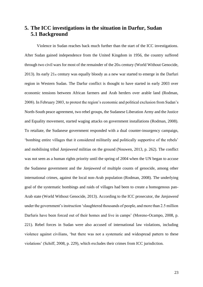# <span id="page-23-1"></span><span id="page-23-0"></span>**5. The ICC investigations in the situation in Darfur, Sudan 5.1 Background**

Violence in Sudan reaches back much further than the start of the ICC investigations. After Sudan gained independence from the United Kingdom in 1956, the country suffered through two civil wars for most of the remainder of the  $20<sub>th</sub>$  century (World Without Genocide, 2013). Its early 21st century was equally bloody as a new war started to emerge in the Darfuri region in Western Sudan. The Darfur conflict is thought to have started in early 2003 over economic tensions between African farmers and Arab herders over arable land (Rodman, 2008). In February 2003, to protest the region's economic and political exclusion from Sudan's North-South peace agreement, two rebel groups, the Sudanese Liberation Army and the Justice and Equality movement, started waging attacks on government installations (Rodman, 2008). To retaliate, the Sudanese government responded with a dual counter-insurgency campaign, 'bombing entire villages that it considered militarily and politically supportive of the rebels' and mobilising tribal *Janjaweed* militias on the ground (Nouwen, 2013, p. 262). The conflict was not seen as a human rights priority until the spring of 2004 when the UN began to accuse the Sudanese government and the *Janjaweed* of multiple counts of genocide, among other international crimes, against the local non-Arab population (Rodman, 2008). The underlying goal of the systematic bombings and raids of villages had been to create a homogenous pan-Arab state (World Without Genocide, 2013). According to the ICC prosecutor, the *Janjaweed*  under the government's instruction 'slaughtered thousands of people, and more than 2.5 million Darfuris have been forced out of their homes and live in camps' (Moreno-Ocampo, 2008, p. 221). Rebel forces in Sudan were also accused of international law violations, including violence against civilians, 'but there was not a systematic and widespread pattern to these violations' (Schiff, 2008, p. 229), which excludes their crimes from ICC jurisdiction.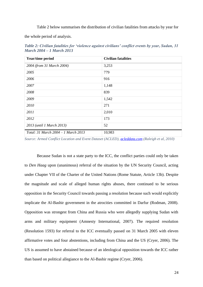Table 2 below summarises the distribution of civilian fatalities from attacks by year for

the whole period of analysis.

<span id="page-24-0"></span>*Table 2: Civilian fatalities for 'violence against civilians' conflict events by year, Sudan, 31 March 2004 – 1 March 2013* 

| Year/time period                    | <b>Civilian fatalities</b> |  |  |
|-------------------------------------|----------------------------|--|--|
| 2004 (from 31 March 2004)           | 3,253                      |  |  |
| 2005                                | 779                        |  |  |
| 2006                                | 916                        |  |  |
| 2007                                | 1,148                      |  |  |
| 2008                                | 839                        |  |  |
| 2009                                | 1,542                      |  |  |
| 2010                                | 271                        |  |  |
| 2011                                | 2,010                      |  |  |
| 2012                                | 173                        |  |  |
| 2013 (until 1 March 2013)           | 52                         |  |  |
| Total: 31 March 2004 – 1 March 2013 | 10,983                     |  |  |

*Source: Armed Conflict Location and Event Dataset (ACLED), [acleddata.com](http://acleddata.com/) (Raleigh et al, 2010)*

Because Sudan is not a state party to the ICC, the conflict parties could only be taken to *Den Haag* upon (unanimous) referral of the situation by the UN Security Council, acting under Chapter VII of the Charter of the United Nations (Rome Statute, Article 13b). Despite the magnitude and scale of alleged human rights abuses, there continued to be serious opposition in the Security Council towards passing a resolution because such would explicitly implicate the Al-Bashir government in the atrocities committed in Darfur (Rodman, 2008). Opposition was strongest from China and Russia who were allegedly supplying Sudan with arms and military equipment (Amnesty International, 2007). The required resolution (Resolution 1593) for referral to the ICC eventually passed on 31 March 2005 with eleven affirmative votes and four abstentions, including from China and the US (Cryer, 2006). The US is assumed to have abstained because of an ideological opposition towards the ICC rather than based on political allegiance to the Al-Bashir regime (Cryer, 2006).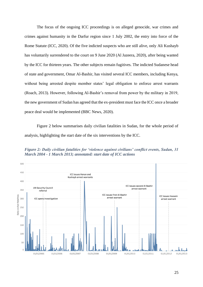The focus of the ongoing ICC proceedings is on alleged genocide, war crimes and crimes against humanity in the Darfur region since 1 July 2002, the entry into force of the Rome Statute (ICC, 2020). Of the five indicted suspects who are still alive, only Ali Kushayb has voluntarily surrendered to the court on 9 June 2020 (Al Jazeera, 2020), after being wanted by the ICC for thirteen years. The other subjects remain fugitives. The indicted Sudanese head of state and government, Omar Al-Bashir, has visited several ICC members, including Kenya, without being arrested despite member states' legal obligation to enforce arrest warrants (Roach, 2013). However, following Al-Bashir's removal from power by the military in 2019, the new government of Sudan has agreed that the ex-president must face the ICC once a broader peace deal would be implemented (BBC News, 2020).

Figure 2 below summarises daily civilian fatalities in Sudan, for the whole period of analysis, highlighting the start date of the six interventions by the ICC.

<span id="page-25-0"></span>

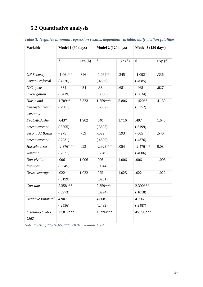# <span id="page-26-0"></span>**5.2 Quantitative analysis**

| <b>Variable</b>          | Model 1 (90 days)    |                | Model 2 (120 days)   |                | <b>Model 3 (150 days)</b> |                |
|--------------------------|----------------------|----------------|----------------------|----------------|---------------------------|----------------|
|                          | $\boldsymbol{\beta}$ | $Exp( \beta )$ | $\boldsymbol{\beta}$ | $Exp( \beta )$ | $\boldsymbol{\beta}$      | $Exp( \beta )$ |
| <b>UN Security</b>       | $-1.061**$           | .346           | $-1.064**$           | .345           | $-1.092**$                | .336           |
| Council referral         | (.4726)              |                | (.4686)              |                | (.4685)                   |                |
| ICC opens                | $-.834$              | .434           | $-.384$              | .681           | $-.468$                   | .627           |
| investigation            | (.5419)              |                | (.3980)              |                | (.3634)                   |                |
| Harun and                | 1.709**              | 5.523          | 1.759***             | 5.806          | $1.420**$                 | 4.139          |
| Kushayb arrest           | (.7901)              |                | (.6692)              |                | (.5752)                   |                |
| warrants                 |                      |                |                      |                |                           |                |
| First Al-Bashir          | $.643*$              | 1.902          | .540                 | 1.716          | .497                      | 1.643          |
| arrest warrant           | (.3705)              |                | (.3505)              |                | (.3199)                   |                |
| Second Al Bashir         | $-.275$              | .759           | $-.522$              | .593           | $-.605$                   | .546           |
| arrest warrant           | (.7031)              |                | (.4629)              |                | (.4376)                   |                |
| Hussein arrest           | $-2.376***$          | .093           | $-2.928***$          | .054           | $-2.476***$               | 0.084          |
| warrant                  | (.7031)              |                | (.5049)              |                | (.4006)                   |                |
| Non-civilian             | .006                 | 1.006          | .006                 | 1.006          | .006                      | 1.006          |
| fatalities               | (.0045)              |                | (.0044)              |                |                           |                |
| News coverage            | .022                 | 1.022          | .025                 | 1.025          | .022                      | 1.022          |
|                          | (.0199)              |                | (.0201)              |                |                           |                |
| Constant                 | 2.358***             |                | 2.359***             |                | 2.390***                  |                |
|                          | (.0973)              |                | (.0994)              |                | (.1018)                   |                |
| <b>Negative Binomial</b> | 4.907                |                | 4.808                |                | 4.796                     |                |
|                          | (.2536)              |                | (.2492)              |                | (.2487)                   |                |
| Likelihood ratio<br>Chi2 | 27.812***            |                | 43.994***            |                | 45.793***                 |                |

<span id="page-26-1"></span>*Table 3: Negative binomial regression results, dependent variable: daily civilian fatalities* 

*Note: \*p<0.1; \*\*p<0.05; \*\*\*p<0.01, two-tailed test*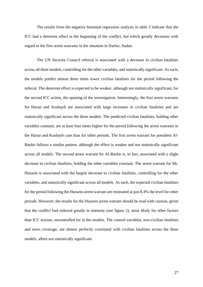The results from the negative binomial regression analysis in table 3 indicate that the ICC had a deterrent effect at the beginning of the conflict, but which greatly decreases with regard to the first arrest warrants in the situation in Darfur, Sudan.

The UN Security Council referral is associated with a decrease in civilian fatalities across all three models, controlling for the other variables, and statistically significant. As such, the models predict almost three times lower civilian fatalities for the period following the referral. The deterrent effect is expected to be weaker, although not statistically significant, for the second ICC action, the opening of the investigation. Interestingly, the first arrest warrants for Harun and Kushayb are associated with large increases in civilian fatalities and are statistically significant across the three models. The predicted civilian fatalities, holding other variables constant, are at least four times higher for the period following the arrest warrants in the Harun and Kushayb case than for other periods. The first arrest warrant for president Al-Bashir follows a similar pattern, although the effect is weaker and not statistically significant across all models. The second arrest warrant for Al-Bashir is, in fact, associated with a slight decrease in civilian fatalities, holding the other variables constant. The arrest warrant for Mr. Hussein is associated with the largest decrease in civilian fatalities, controlling for the other variables, and statistically significant across all models. As such, the expected civilian fatalities for the period following the Hussein arrest warrant are estimated at just 8.4% the level for other periods. However, the results for the Hussein arrest warrant should be read with caution, given that the conflict had reduced greatly in intensity (see figure 2), most likely for other factors than ICC actions, uncontrolled for in the models. The control variables, non-civilian fatalities and news coverage, are almost perfectly correlated with civilian fatalities across the three models, albeit not statistically significant.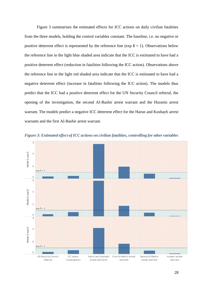Figure 3 summarises the estimated effects for ICC actions on daily civilian fatalities from the three models, holding the control variables constant. The baseline, i.e. no negative or positive deterrent effect is represented by the reference line ( $\exp B = 1$ ). Observations below the reference line in the light blue shaded area indicate that the ICC is estimated to have had a positive deterrent effect (reduction in fatalities following the ICC action). Observations above the reference line in the light red shaded area indicate that the ICC is estimated to have had a negative deterrent effect (increase in fatalities following the ICC action). The models thus predict that the ICC had a positive deterrent effect for the UN Security Council referral, the opening of the investigation, the second Al-Bashir arrest warrant and the Hussein arrest warrant. The models predict a negative ICC deterrent effect for the Harun and Kushayb arrest warrants and the first Al-Bashir arrest warrant.



<span id="page-28-0"></span>*Figure 3: Estimated effect of ICC actions on civilian fatalities, controlling for other variables*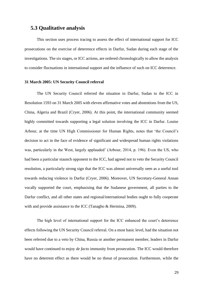## <span id="page-29-0"></span>**5.3 Qualitative analysis**

This section uses process tracing to assess the effect of international support for ICC prosecutions on the exercise of deterrence effects in Darfur, Sudan during each stage of the investigations. The six stages, or ICC actions, are ordered chronologically to allow the analysis to consider fluctuations in international support and the influence of such on ICC deterrence.

#### **31 March 2005: UN Security Council referral**

The UN Security Council referred the situation in Darfur, Sudan to the ICC in Resolution 1593 on 31 March 2005 with eleven affirmative votes and abstentions from the US, China, Algeria and Brazil (Cryer, 2006). At this point, the international community seemed highly committed towards supporting a legal solution involving the ICC in Darfur. Louise Arbour, at the time UN High Commissioner for Human Rights, notes that 'the Council's decision to act in the face of evidence of significant and widespread human rights violations was, particularly in the West, largely applauded' (Arbour, 2014, p. 196). Even the US, who had been a particular staunch opponent to the ICC, had agreed not to veto the Security Council resolution, a particularly strong sign that the ICC was almost universally seen as a useful tool towards reducing violence in Darfur (Cryer, 2006). Moreover, UN Secretary-General Annan vocally supported the court, emphasising that the Sudanese government, all parties to the Darfur conflict, and all other states and regional/international bodies ought to fully cooperate with and provide assistance to the ICC (Tanagho & Hermina, 2009).

The high level of international support for the ICC enhanced the court's deterrence effects following the UN Security Council referral. On a most basic level, had the situation not been referred due to a veto by China, Russia or another permanent member, leaders in Darfur would have continued to enjoy *de facto* immunity from prosecution. The ICC would therefore have no deterrent effect as there would be no threat of prosecution. Furthermore, while the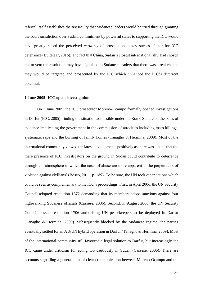referral itself establishes the *possibility* that Sudanese leaders would be tried through granting the court jurisdiction over Sudan, commitment by powerful states to supporting the ICC would have greatly raised the perceived *certainty* of prosecution, a key success factor for ICC deterrence (Buitelaar, 2016). The fact that China, Sudan's closest international ally, had chosen not to veto the resolution may have signalled to Sudanese leaders that there was a real chance they would be targeted and prosecuted by the ICC which enhanced the ICC's deterrent potential.

#### **1 June 2005: ICC opens investigation**

On 1 June 2005, the ICC prosecutor Moreno-Ocampo formally opened investigations in Darfur (ICC, 2005), finding the situation admissible under the Rome Statute on the basis of evidence implicating the government in the commission of atrocities including mass killings, systematic rape and the burning of family homes (Tanagho & Hermina, 2009). Most of the international community viewed the latest developments positively as there was a hope that the mere presence of ICC investigators on the ground in Sudan could contribute to deterrence through an 'atmosphere in which the costs of abuse are more apparent to the perpetrators of violence against civilians' (Bosco, 2011, p. 189). To be sure, the UN took other actions which could be seen as complementary to the ICC's proceedings. First, in April 2006, the UN Security Council adopted resolution 1672 demanding that its members adopt sanctions against four high-ranking Sudanese officials (Cassese, 2006). Second, in August 2006, the UN Security Council passed resolution 1706 authorising UN peacekeepers to be deployed in Darfur (Tanagho & Hermina, 2009). Subsequently blocked by the Sudanese regime, the parties eventually settled for an AU/UN hybrid operation in Darfur (Tanagho & Hermina, 2009). Most of the international community still favoured a legal solution to Darfur, but increasingly the ICC came under criticism for acting too cautiously in Sudan (Cassese, 2006). There are accounts signalling a general lack of clear communication between Moreno-Ocampo and the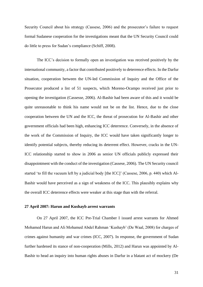Security Council about his strategy (Cassese, 2006) and the prosecutor's failure to request formal Sudanese cooperation for the investigations meant that the UN Security Council could do little to press for Sudan's compliance (Schiff, 2008).

The ICC's decision to formally open an investigation was received positively by the international community, a factor that contributed positively to deterrence effects. In the Darfur situation, cooperation between the UN-led Commission of Inquiry and the Office of the Prosecutor produced a list of 51 suspects, which Moreno-Ocampo received just prior to opening the investigation (Cassesse, 2006). Al-Bashir had been aware of this and it would be quite unreasonable to think his name would not be on the list. Hence, due to the close cooperation between the UN and the ICC, the threat of prosecution for Al-Bashir and other government officials had been high, enhancing ICC deterrence. Conversely, in the absence of the work of the Commission of Inquiry, the ICC would have taken significantly longer to identify potential subjects, thereby reducing its deterrent effect. However, cracks in the UN-ICC relationship started to show in 2006 as senior UN officials publicly expressed their disappointment with the conduct of the investigation (Cassese, 2006). The UN Security council started 'to fill the vacuum left by a judicial body [the ICC]' (Cassese, 2006, p. 440) which Al-Bashir would have perceived as a sign of weakness of the ICC. This plausibly explains why the overall ICC deterrence effects were weaker at this stage than with the referral.

#### **27 April 2007: Harun and Kushayb arrest warrants**

On 27 April 2007, the ICC Pre-Trial Chamber I issued arrest warrants for Ahmed Mohamed Harun and Ali Mohamed Abdel Rahman 'Kushayb' (De Waal, 2008) for charges of crimes against humanity and war crimes (ICC, 2007). In response, the government of Sudan further hardened its stance of non-cooperation (Mills, 2012) and Harun was appointed by Al-Bashir to head an inquiry into human rights abuses in Darfur in a blatant act of mockery (De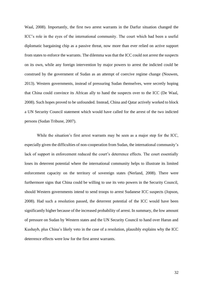Waal, 2008). Importantly, the first two arrest warrants in the Darfur situation changed the ICC's role in the eyes of the international community. The court which had been a useful diplomatic bargaining chip as a passive threat, now more than ever relied on active support from states to enforce the warrants. The dilemma was that the ICC could not arrest the suspects on its own, while any foreign intervention by major powers to arrest the indicted could be construed by the government of Sudan as an attempt of coercive regime change (Nouwen, 2013). Western governments, instead of pressuring Sudan themselves, were secretly hoping that China could convince its African ally to hand the suspects over to the ICC (De Waal, 2008). Such hopes proved to be unfounded. Instead, China and Qatar actively worked to block a UN Security Council statement which would have called for the arrest of the two indicted persons (Sudan Tribune, 2007).

While the situation's first arrest warrants may be seen as a major step for the ICC, especially given the difficulties of non-cooperation from Sudan, the international community's lack of support in enforcement reduced the court's deterrence effects. The court essentially loses its deterrent potential where the international community helps to illustrate its limited enforcement capacity on the territory of sovereign states (Nerland, 2008). There were furthermore signs that China could be willing to use its veto powers in the Security Council, should Western governments intend to send troops to arrest Sudanese ICC suspects (Jopson, 2008). Had such a resolution passed, the deterrent potential of the ICC would have been significantly higher because of the increased probability of arrest. In summary, the low amount of pressure on Sudan by Western states and the UN Security Council to hand over Harun and Kushayb, plus China's likely veto in the case of a resolution, plausibly explains why the ICC deterrence effects were low for the first arrest warrants.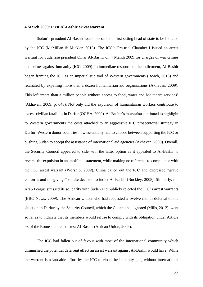#### **4 March 2009: First Al-Bashir arrest warrant**

Sudan's president Al-Bashir would become the first sitting head of state to be indicted by the ICC (McMillan & Mickler, 2013). The ICC's Pre-trial Chamber I issued an arrest warrant for Sudanese president Omar Al-Bashir on 4 March 2009 for charges of war crimes and crimes against humanity (ICC, 2009). In immediate response to the indictment, Al-Bashir began framing the ICC as an imperialistic tool of Western governments (Roach, 2013) and retaliated by expelling more than a dozen humanitarian aid organisations (Akhavan, 2009). This left 'more than a million people without access to food, water and healthcare services' (Akhavan, 2009, p. 648). Not only did the expulsion of humanitarian workers contribute to excess civilian fatalities in Darfur (OCHA, 2009), Al-Bashir's move also continued to highlight to Western governments the costs attached to an aggressive ICC prosecutorial strategy in Darfur. Western donor countries now essentially had to choose between supporting the ICC or pushing Sudan to accept the assistance of international aid agencies (Akhavan, 2009). Overall, the Security Council appeared to side with the latter option as it appealed to Al-Bashir to reverse the expulsion in an unofficial statement, while making no reference to compliance with the ICC arrest warrant (Worsnip, 2009). China called out the ICC and expressed "grave concerns and misgivings" on the decision to indict Al-Bashir (Buckley, 2008). Similarly, the Arab League stressed its solidarity with Sudan and publicly rejected the ICC's arrest warrants (BBC News, 2009). The African Union who had requested a twelve month deferral of the situation in Darfur by the Security Council, which the Council had ignored (Mills, 2012), went so far as to indicate that its members would refuse to comply with its obligation under Article 98 of the Rome statute to arrest Al-Bashir (African Union, 2009).

The ICC had fallen out of favour with most of the international community which diminished the potential deterrent effect an arrest warrant against Al-Bashir would have. While the warrant is a laudable effort by the ICC to close the impunity gap, without international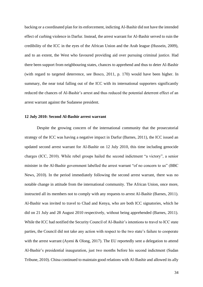backing or a coordinated plan for its enforcement, indicting Al-Bashir did not have the intended effect of curbing violence in Darfur. Instead, the arrest warrant for Al-Bashir served to ruin the credibility of the ICC in the eyes of the African Union and the Arab league (Hussein, 2009), and to an extent, the West who favoured providing aid over pursuing criminal justice. Had there been support from neighbouring states, chances to apprehend and thus to deter Al-Bashir (with regard to targeted deterrence, see Bosco, 2011, p. 170) would have been higher. In summary, the near total falling out of the ICC with its international supporters significantly reduced the chances of Al-Bashir's arrest and thus reduced the potential deterrent effect of an arrest warrant against the Sudanese president.

#### **12 July 2010: Second Al-Bashir arrest warrant**

Despite the growing concern of the international community that the prosecutorial strategy of the ICC was having a negative impact in Darfur (Barnes, 2011), the ICC issued an updated second arrest warrant for Al-Bashir on 12 July 2010, this time including genocide charges (ICC, 2010). While rebel groups hailed the second indictment "a victory", a senior minister in the Al-Bashir government labelled the arrest warrant "of no concern to us" (BBC News, 2010). In the period immediately following the second arrest warrant, there was no notable change in attitude from the international community. The African Union, once more, instructed all its members not to comply with any requests to arrest Al-Bashir (Barnes, 2011). Al-Bashir was invited to travel to Chad and Kenya, who are both ICC signatories, which he did on 21 July and 28 August 2010 respectively, without being apprehended (Barnes, 2011). While the ICC had notified the Security Council of Al-Bashir's intentions to travel to ICC state parties, the Council did not take any action with respect to the two state's failure to cooperate with the arrest warrant (Ayeni & Olong, 2017). The EU reportedly sent a delegation to attend Al-Bashir's presidential inauguration, just two months before his second indictment (Sudan Tribune, 2010). China continued to maintain good relations with Al-Bashir and allowed its ally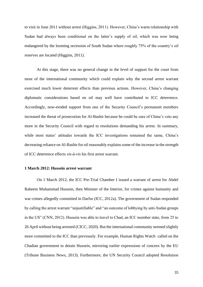to visit in June 2011 without arrest (Higgins, 2011). However, China's warm relationship with Sudan had always been conditional on the latter's supply of oil, which was now being endangered by the looming secession of South Sudan where roughly 75% of the country's oil reserves are located (Higgins, 2011).

At this stage, there was no general change in the level of support for the court from most of the international community which could explain why the second arrest warrant exercised much lower deterrent effects than previous actions. However, China's changing diplomatic considerations based on oil may well have contributed to ICC deterrence. Accordingly, now-eroded support from one of the Security Council's permanent members increased the threat of prosecution for Al-Bashir because he could be sure of China's veto any more in the Security Council with regard to resolutions demanding his arrest. In summary, while most states' attitudes towards the ICC investigations remained the same, China's decreasing reliance on Al-Bashir for oil reasonably explains some of the increase in the strength of ICC deterrence effects *vis-à-vis* his first arrest warrant.

#### **1 March 2012: Hussein arrest warrant**

On 1 March 2012, the ICC Pre-Trial Chamber I issued a warrant of arrest for Abdel Raheem Muhammad Hussein, then Minister of the Interior, for crimes against humanity and war crimes allegedly committed in Darfur (ICC, 2012a). The government of Sudan responded by calling the arrest warrant "unjustifiable" and "an outcome of lobbying by anti-Sudan groups in the US" (CNN, 2012). Hussein was able to travel to Chad, an ICC member state, from 25 to 26 April without being arrested (CICC, 2020). But the international community seemed slightly more committed to the ICC than previously. For example, Human Rights Watch called on the Chadian government to detain Hussein, mirroring earlier expressions of concern by the EU (Tribune Business News, 2013). Furthermore, the UN Security Council adopted Resolution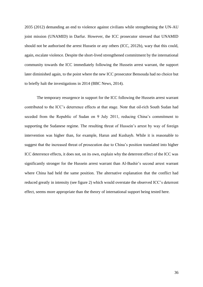2035 (2012) demanding an end to violence against civilians while strengthening the UN-AU joint mission (UNAMID) in Darfur. However, the ICC prosecutor stressed that UNAMID should not be authorised the arrest Hussein or any others (ICC, 2012b), wary that this could, again, escalate violence. Despite the short-lived strengthened commitment by the international community towards the ICC immediately following the Hussein arrest warrant, the support later diminished again, to the point where the new ICC prosecutor Bensouda had no choice but to briefly halt the investigations in 2014 (BBC News, 2014).

The temporary resurgence in support for the ICC following the Hussein arrest warrant contributed to the ICC's deterrence effects at that stage. Note that oil-rich South Sudan had seceded from the Republic of Sudan on 9 July 2011, reducing China's commitment to supporting the Sudanese regime. The resulting threat of Hussein's arrest by way of foreign intervention was higher than, for example, Harun and Kushayb. While it is reasonable to suggest that the increased threat of prosecution due to China's position translated into higher ICC deterrence effects, it does not, on its own, explain why the deterrent effect of the ICC was significantly stronger for the Hussein arrest warrant than Al-Bashir's second arrest warrant where China had held the same position. The alternative explanation that the conflict had reduced greatly in intensity (see figure 2) which would overstate the observed ICC's deterrent effect, seems more appropriate than the theory of international support being tested here.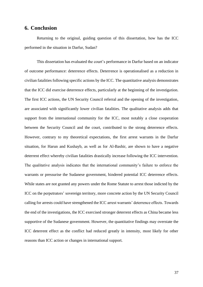#### <span id="page-37-0"></span>**6. Conclusion**

Returning to the original, guiding question of this dissertation, how has the ICC performed in the situation in Darfur, Sudan?

This dissertation has evaluated the court's performance in Darfur based on an indicator of outcome performance: deterrence effects. Deterrence is operationalised as a reduction in civilian fatalities following specific actions by the ICC. The quantitative analysis demonstrates that the ICC did exercise deterrence effects, particularly at the beginning of the investigation. The first ICC actions, the UN Security Council referral and the opening of the investigation, are associated with significantly lower civilian fatalities. The qualitative analysis adds that support from the international community for the ICC, most notably a close cooperation between the Security Council and the court, contributed to the strong deterrence effects. However, contrary to my theoretical expectations, the first arrest warrants in the Darfur situation, for Harun and Kushayb, as well as for Al-Bashir, are shown to have a negative deterrent effect whereby civilian fatalities drastically increase following the ICC intervention. The qualitative analysis indicates that the international community's failure to enforce the warrants or pressurise the Sudanese government, hindered potential ICC deterrence effects. While states are not granted any powers under the Rome Statute to arrest those indicted by the ICC on the perpetrators' sovereign territory, more concrete action by the UN Security Council calling for arrests could have strengthened the ICC arrest warrants' deterrence effects. Towards the end of the investigations, the ICC exercised stronger deterrent effects as China became less supportive of the Sudanese government. However, the quantitative findings may overstate the ICC deterrent effect as the conflict had reduced greatly in intensity, most likely for other reasons than ICC action or changes in international support.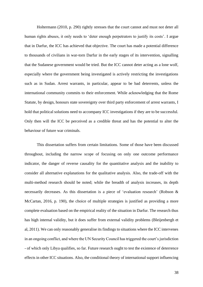Holtermann (2010, p. 290) rightly stresses that the court cannot and must not deter all human rights abuses, it only needs to 'deter enough perpetrators to justify its costs'. I argue that in Darfur, the ICC has achieved that objective. The court has made a potential difference to thousands of civilians in war-torn Darfur in the early stages of its intervention, signalling that the Sudanese government would be tried. But the ICC cannot deter acting as a lone wolf, especially where the government being investigated is actively restricting the investigations such as in Sudan. Arrest warrants, in particular, appear to be bad deterrents, unless the international community commits to their enforcement. While acknowledging that the Rome Statute, by design, honours state sovereignty over third party enforcement of arrest warrants, I hold that political solutions need to accompany ICC investigations if they are to be successful. Only then will the ICC be perceived as a credible threat and has the potential to alter the behaviour of future war criminals.

This dissertation suffers from certain limitations. Some of those have been discussed throughout, including the narrow scope of focusing on only one outcome performance indicator, the danger of reverse causality for the quantitative analysis and the inability to consider all alternative explanations for the qualitative analysis. Also, the trade-off with the multi-method research should be noted; while the breadth of analysis increases, its depth necessarily decreases. As this dissertation is a piece of 'evaluation research' (Robson & McCartan, 2016, p. 190), the choice of multiple strategies is justified as providing a more complete evaluation based on the empirical reality of the situation in Darfur. The research thus has high internal validity, but it does suffer from external validity problems (Bleijenbergh et al, 2011). We can only reasonably generalise its findings to situations where the ICC intervenes in an ongoing conflict, and where the UN Security Council has triggered the court's jurisdiction - of which only Libya qualifies, so far. Future research ought to test the existence of deterrence effects in other ICC situations. Also, the conditional theory of international support influencing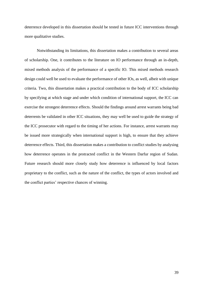deterrence developed in this dissertation should be tested in future ICC interventions through more qualitative studies.

Notwithstanding its limitations, this dissertation makes a contribution to several areas of scholarship. One, it contributes to the literature on IO performance through an in-depth, mixed methods analysis of the performance of a specific IO. This mixed methods research design could well be used to evaluate the performance of other IOs, as well, albeit with unique criteria. Two, this dissertation makes a practical contribution to the body of ICC scholarship by specifying at which stage and under which condition of international support, the ICC can exercise the strongest deterrence effects. Should the findings around arrest warrants being bad deterrents be validated in other ICC situations, they may well be used to guide the strategy of the ICC prosecutor with regard to the timing of her actions. For instance, arrest warrants may be issued more strategically when international support is high, to ensure that they achieve deterrence effects. Third, this dissertation makes a contribution to conflict studies by analysing how deterrence operates in the protracted conflict in the Western Darfur region of Sudan. Future research should more closely study how deterrence is influenced by local factors proprietary to the conflict, such as the nature of the conflict, the types of actors involved and the conflict parties' respective chances of winning.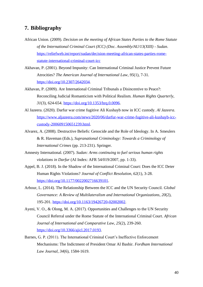# <span id="page-40-0"></span>**7. Bibliography**

- African Union. (2009). *Decision on the meeting of African States Parties to the Rome Statute of the International Criminal Court (ICC) (Doc. Assembly/AU/13(XIII) - Sudan*. [https://reliefweb.int/report/sudan/decision-meeting-african-states-parties-rome](https://reliefweb.int/report/sudan/decision-meeting-african-states-parties-rome-%09statute-international-criminal-court-icc)[statute-international-criminal-court-icc](https://reliefweb.int/report/sudan/decision-meeting-african-states-parties-rome-%09statute-international-criminal-court-icc)
- Akhavan, P. (2001). Beyond Impunity: Can International Criminal Justice Prevent Future Atrocities? *The American Journal of International Law*, *95*(1), 7-31. [https://doi.org/10.2307/2642034.](https://doi.org/10.2307/2642034)
- Akhavan, P. (2009). Are International Criminal Tribunals a Disincentive to Peace?: Reconciling Judicial Romanticism with Political Realism. *Human Rights Quarterly*, *31*(3), 624-654. [https://doi.org/10.1353/hrq.0.0096.](https://doi.org/10.1353/hrq.0.0096)
- Al Jazeera. (2020). Darfur war crime fugitive Ali Kushayb now in ICC custody. *Al Jazeera*. [https://www.aljazeera.com/news/2020/06/darfur-war-crime-fugitive-ali-kushayb-icc](https://www.aljazeera.com/news/2020/06/darfur-war-crime-fugitive-ali-kushayb-icc-%20%09custody-200609150651239.html)[custody-200609150651239.html.](https://www.aljazeera.com/news/2020/06/darfur-war-crime-fugitive-ali-kushayb-icc-%20%09custody-200609150651239.html)
- Alvarez, A. (2008). Destructive Beliefs: Genocide and the Role of Ideology. In A. Smeulers & R. Haveman (Eds.), *Supranational Criminology: Towards a Criminology of International Crimes* (pp. 213-231). Springer.
- Amnesty International. (2007). *Sudan: Arms continuing to fuel serious human rights violations in Darfur* (AI Index: AFR 54/019/2007, pp. 1-33).
- Appel, B. J. (2018). In the Shadow of the International Criminal Court: Does the ICC Deter Human Rights Violations? *Journal of Conflict Resolution*, *62*(1), 3-28. [https://doi.org/10.1177/0022002716639101.](https://doi.org/10.1177/0022002716639101)
- Arbour, L. (2014). The Relationship Between the ICC and the UN Security Council. *Global Governance: A Review of Multilateralism and International Organizations*, *20*(2), 195-201. [https://doi.org/10.1163/19426720-02002002.](https://doi.org/10.1163/19426720-02002002)
- Ayeni, V. O., & Olong, M. A. (2017). Opportunities and Challenges to the UN Security Council Referral under the Rome Statute of the International Criminal Court. *African Journal of International and Comparative Law*, *25*(2), 239-260. [https://doi.org/10.3366/ajicl.2017.0193.](https://doi.org/10.3366/ajicl.2017.0193)
- Barnes, G. P. (2011). The International Criminal Court's Ineffective Enforcement Mechanisms: The Indictment of President Omar Al Bashir. *Fordham International Law Journal*, *34*(6), 1584-1619.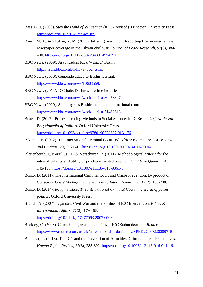- Bass, G. J. (2000). *Stay the Hand of Vengeance* (REV-Revised). Princeton University Press. [https://doi.org/10.2307/j.ctt6wq0sn.](https://doi.org/10.2307/j.ctt6wq0sn)
- Baum, M. A., & Zhukov, Y. M. (2015). Filtering revolution: Reporting bias in international newspaper coverage of the Libyan civil war. *Journal of Peace Research*, *52*(3), 384- 400. [https://doi.org/10.1177/0022343314554791.](https://doi.org/10.1177/0022343314554791)
- BBC News. (2009). Arab leaders back 'wanted' Bashir [http://news.bbc.co.uk/1/hi/7971624.stm.](http://news.bbc.co.uk/1/hi/7971624.stm)
- BBC News. (2010). Genocide added to Bashir warrant. [https://www.bbc.com/news/10603559.](https://www.bbc.com/news/10603559)
- BBC News. (2014). ICC halts Darfur war crime inquiries*.* [https://www.bbc.com/news/world-africa-30458347.](https://www.bbc.com/news/world-africa-30458347)
- BBC News. (2020). Sudan agrees Bashir must face international court. [https://www.bbc.com/news/world-africa-51462613.](https://www.bbc.com/news/world-africa-51462613)
- Beach, D. (2017). Process-Tracing Methods in Social Science. In D. Beach, *Oxford Research Encyclopedia of Politics*. Oxford University Press. [https://doi.org/10.1093/acrefore/9780190228637.013.176.](https://doi.org/10.1093/acrefore/9780190228637.013.176)
- Bikundo, E. (2012). The International Criminal Court and Africa: Exemplary Justice. *Law and Critique*, *23*(1), 21-41. [https://doi.org/10.1007/s10978-011-9094-1.](https://doi.org/10.1007/s10978-011-9094-1)
- Bleijenbergh, I., Korzilius, H., & Verschuren, P. (2011). Methodological criteria for the internal validity and utility of practice-oriented research. *Quality & Quantity*, *45*(1), 145-156. [https://doi.org/10.1007/s11135-010-9361-5.](https://doi.org/10.1007/s11135-010-9361-5)
- Bosco, D. (2011). The International Criminal Court and Crime Prevention: Byproduct or Conscious Goal? *Michigan State Journal of International Law*, *19*(2), 163-200.
- Bosco, D. (2014). *Rough Justice: The International Criminal Court in a world of power politics*. Oxford University Press.
- Branch, A. (2007). Uganda's Civil War and the Politics of ICC Intervention. *Ethics & International Affairs*, *21*(2), 179-198. [https://doi.org/10.1111/j.17477093.2007.00069.x.](https://doi.org/10.1111/j.17477093.2007.00069.x)
- Buckley, C. (2008). China has 'grave concerns' over ICC Sudan decision. *Reuters*. [https://www.reuters.com/article/us-china-sudan-darfur-idUSPEK27439220080715.](https://www.reuters.com/article/us-china-sudan-darfur-idUSPEK27439220080715)
- Buitelaar, T. (2016). The ICC and the Prevention of Atrocities: Criminological Perspectives. *Human Rights Review*, *17*(3), 285-302. [https://doi.org/10.1007/s12142-016-0414-6.](https://doi.org/10.1007/s12142-016-0414-6)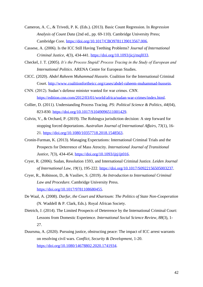- Cameron, A. C., & Trivedi, P. K. (Eds.). (2013). Basic Count Regression. In *Regression Analysis of Count Data* (2nd ed., pp. 69-110). Cambridge University Press; Cambridge Core. [https://doi.org/10.1017/CBO9781139013567.006.](https://doi.org/10.1017/CBO9781139013567.006)
- Cassese, A. (2006). Is the ICC Still Having Teething Problems? *Journal of International Criminal Justice*, *4*(3), 434-441. [https://doi.org/10.1093/jicj/mql033.](https://doi.org/10.1093/jicj/mql033)
- Checkel, J. T. (2005). *It's the Process Stupid! Process Tracing in the Study of European and International Politics*. ARENA Centre for European Studies.
- CICC. (2020). *Abdel Raheem Muhammad Hussein*. Coalition for the International Criminal Court. [http://www.coalitionfortheicc.org/cases/abdel-raheem-muhammad-hussein.](http://www.coalitionfortheicc.org/cases/abdel-raheem-muhammad-hussein)
- CNN. (2012). Sudan's defense minister wanted for war crimes. *CNN*. [https://edition.cnn.com/2012/03/01/world/africa/sudan-war-crimes/index.html.](https://edition.cnn.com/2012/03/01/world/africa/sudan-war-crimes/index.html)
- Collier, D. (2011). Understanding Process Tracing. *PS: Political Science & Politics*, *44*(04), 823-830. [https://doi.org/10.1017/S1049096511001429.](https://doi.org/10.1017/S1049096511001429)
- Colvin, V., & Orchard, P. (2019). The Rohingya jurisdiction decision: A step forward for stopping forced deportations. *Australian Journal of International Affairs*, *73*(1), 16- 21. [https://doi.org/10.1080/10357718.2018.1548563.](https://doi.org/10.1080/10357718.2018.1548563)
- Cronin-Furman, K. (2013). Managing Expectations: International Criminal Trials and the Prospects for Deterrence of Mass Atrocity. *International Journal of Transitional Justice*, *7*(3), 434-454. [https://doi.org/10.1093/ijtj/ijt016.](https://doi.org/10.1093/ijtj/ijt016)
- Cryer, R. (2006). Sudan, Resolution 1593, and International Criminal Justice. *Leiden Journal of International Law*, *19*(1), 195-222. [https://doi.org/10.1017/S0922156505003237.](https://doi.org/10.1017/S0922156505003237)
- Cryer, R., Robinson, D., & Vasiliev, S. (2019). *An Introduction to International Criminal Law and Procedure*. Cambridge University Press. [https://doi.org/10.1017/9781108680455.](https://doi.org/10.1017/9781108680455)
- De Waal, A. (2008). *Darfur, the Court and Khartoum: The Politics of State Non-Cooperation* (N. Waddell & P. Clark, Eds.). Royal African Society.
- Dietrich, J. (2014). The Limited Prospects of Deterrence by the International Criminal Court: Lessons from Domestic Experience. *International Social Science Review*, *88*(3), 1- 27.
- Duursma, A. (2020). Pursuing justice, obstructing peace: The impact of ICC arrest warrants on resolving civil wars. *Conflict, Security & Development*, 1-20. [https://doi.org/10.1080/14678802.2020.1741934.](https://doi.org/10.1080/14678802.2020.1741934)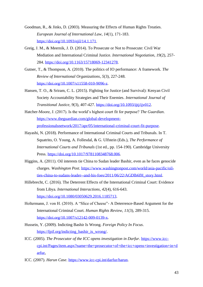- Goodman, R., & Jinks, D. (2003). Measuring the Effects of Human Rights Treaties. *European Journal of International Law*, *14*(1), 171-183. [https://doi.org/10.1093/ejil/14.1.171.](https://doi.org/10.1093/ejil/14.1.171)
- Greig, J. M., & Meernik, J. D. (2014). To Prosecute or Not to Prosecute: Civil War Mediation and International Criminal Justice. *International Negotiation*, *19*(2), 257- 284. [https://doi.org/10.1163/15718069-12341278.](https://doi.org/10.1163/15718069-12341278)
- Gutner, T., & Thompson, A. (2010). The politics of IO performance: A framework. *The Review of International Organizations*, *5*(3), 227-248. [https://doi.org/10.1007/s11558-010-9096-z.](https://doi.org/10.1007/s11558-010-9096-z)
- Hansen, T. O., & Sriram, C. L. (2015). Fighting for Justice (and Survival): Kenyan Civil Society Accountability Strategies and Their Enemies. *International Journal of Transitional Justice*, *9*(3), 407-427. [https://doi.org/10.1093/ijtj/ijv012.](https://doi.org/10.1093/ijtj/ijv012)
- Hatcher-Moore, J. (2017). Is the world's highest court fit for purpose? *The Guardian*. [https://www.theguardian.com/global-development](https://www.theguardian.com/global-development-professionals-network/2017/apr/05/international-criminal-court-fit-purpose)[professionalsnetwork/2017/apr/05/international-criminal-court-fit-purpose.](https://www.theguardian.com/global-development-professionals-network/2017/apr/05/international-criminal-court-fit-purpose)
- Hayashi, N. (2018). Performance of International Criminal Courts and Tribunals. In T. Squatrito, O. Young, A. Follesdal, & G. Ulfstein (Eds.), *The Performance of International Courts and Tribunals* (1st ed., pp. 154-190). Cambridge University Press. [https://doi.org/10.1017/9781108348768.006.](https://doi.org/10.1017/9781108348768.006)
- Higgins, A. (2011). Oil interests tie China to Sudan leader Bashir, even as he faces genocide charges. *Washington Post*. [https://www.washingtonpost.com/world/asia-pacific/oil](https://www.washingtonpost.com/world/asia-pacific/oil-%09ties-china-to-sudans-leader--and-his-foes/2011/06/22/AGDlb6fH_story.html)[ties-china-to-sudans-leader--and-his-foes/2011/06/22/AGDlb6fH\\_story.html.](https://www.washingtonpost.com/world/asia-pacific/oil-%09ties-china-to-sudans-leader--and-his-foes/2011/06/22/AGDlb6fH_story.html)
- Hillebrecht, C. (2016). The Deterrent Effects of the International Criminal Court: Evidence from Libya. *International Interactions*, *42*(4), 616-643. [https://doi.org/10.1080/03050629.2016.1185713.](https://doi.org/10.1080/03050629.2016.1185713)
- Holtermann, J. von H. (2010). A "Slice of Cheese"- A Deterrence-Based Argument for the International Criminal Court. *Human Rights Review*, *11*(3), 289-315. [https://doi.org/10.1007/s12142-009-0139-x.](https://doi.org/10.1007/s12142-009-0139-x)
- Hussein, Y. (2009). Indicting Bashir Is Wrong. *Foreign Policy In Focus*. [https://fpif.org/indicting\\_bashir\\_is\\_wrong/.](https://fpif.org/indicting_bashir_is_wrong/)
- ICC. (2005). *The Prosecutor of the ICC opens investigation in Darfur*. https://www.icccpi.int/Pages/item.aspx?name=the+prosecutor+of+the+icc+opens+investigation+in+d arfur.
- ICC. (2007). *Harun Case*. [https://www.icc-cpi.int/darfur/harun.](https://www.icc-cpi.int/darfur/harun)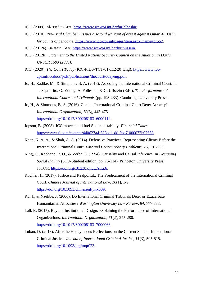ICC. (2009). *Al-Bashir Case*. [https://www.icc-cpi.int/darfur/albashir.](https://www.icc-cpi.int/darfur/albashir)

- ICC. (2010). *Pre-Trial Chamber I issues a second warrant of arrest against Omar Al Bashir for counts of genocide.* [https://www.icc-cpi.int/pages/item.aspx?name=pr557.](https://www.icc-cpi.int/pages/item.aspx?name=pr557)
- ICC. (2012a). *Hussein Case*. [https://www.icc-cpi.int/darfur/hussein.](https://www.icc-cpi.int/darfur/hussein)
- ICC. (2012b). *Statement to the United Nations Security Council on the situation in Darfur UNSCR 1593 (2005)*.
- ICC. (2020). *The Court Today* (ICC-PIDS-TCT-01-112/20\_Eng). https://www.icccpi.int/iccdocs/pids/publications/thecourttodayeng.pdf.
- Jo, H., Radtke, M., & Simmons, B. A. (2018). Assessing the International Criminal Court. In T. Squadrito, O. Young, A. Follesdal, & G. Ulfstein (Eds.), *The Performance of International Courts and Tribunals* (pp. 193-233). Cambridge University Press.
- Jo, H., & Simmons, B. A. (2016). Can the International Criminal Court Deter Atrocity? *International Organization*, *70*(3), 443-475. [https://doi.org/10.1017/S0020818316000114.](https://doi.org/10.1017/S0020818316000114)
- Jopson, B. (2008). ICC move could fuel Sudan instability. *Financial Times*. [https://www.ft.com/content/440627a4-528b-11dd-9ba7-000077b07658.](https://www.ft.com/content/440627a4-528b-11dd-9ba7-000077b07658)
- Khan, K. A. A., & Shah, A. A. (2014). Defensive Practices: Representing Clients Before the International Criminal Court. *Law and Contemporary Problems*, *76*, 191-233.
- King, G., Keohane, R. O., & Verba, S. (1994). Causality and Causal Inference. In *Designing Social Inquiry* (STU-Student edition, pp. 75-114). Princeton University Press; JSTOR. [https://doi.org/10.2307/j.ctt7sfxj.6.](https://doi.org/10.2307/j.ctt7sfxj.6)
- Köchler, H. (2017). Justice and Realpolitik: The Predicament of the International Criminal Court. *Chinese Journal of International Law*, *16*(1), 1-9. [https://doi.org/10.1093/chinesejil/jmx009.](https://doi.org/10.1093/chinesejil/jmx009)
- Ku, J., & Nzelibe, J. (2006). Do International Criminal Tribunals Deter or Exacerbate Humanitarian Atrocities? *Washington University Law Review*, *84*, 777-833.
- Lall, R. (2017). Beyond Institutional Design: Explaining the Performance of International Organizations. *International Organization*, *71*(2), 245-280. [https://doi.org/10.1017/S0020818317000066.](https://doi.org/10.1017/S0020818317000066)
- Luban, D. (2013). After the Honeymoon: Reflections on the Current State of International Criminal Justice. *Journal of International Criminal Justice*, *11*(3), 505-515. https://doi.org/10.1093/jici/mqt023.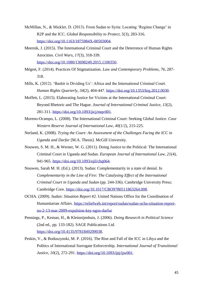- McMillan, N., & Mickler, D. (2013). From Sudan to Syria: Locating 'Regime Change' in R2P and the ICC. *Global Responsibility to Protect*, *5*(3), 283-316. [https://doi.org/10.1163/1875984X-00503004.](https://doi.org/10.1163/1875984X-00503004)
- Meernik, J. (2015). The International Criminal Court and the Deterrence of Human Rights Atrocities. *Civil Wars*, *17*(3), 318-339. [https://doi.org/10.1080/13698249.2015.1100350.](https://doi.org/10.1080/13698249.2015.1100350)
- Mégret, F. (2014). Practices Of Stigmatization. *Law and Contemporary Problems*, *76*, 287- 318.
- Mills, K. (2012). 'Bashir is Dividing Us': Africa and the International Criminal Court. *Human Rights Quarterly*, *34*(2), 404-447. [https://doi.org/10.1353/hrq.2012.0030.](https://doi.org/10.1353/hrq.2012.0030)
- Moffett, L. (2015). Elaborating Justice for Victims at the International Criminal Court: Beyond Rhetoric and The Hague. *Journal of International Criminal Justice*, *13*(2), 281-311. [https://doi.org/10.1093/jicj/mqv001.](https://doi.org/10.1093/jicj/mqv001)
- Moreno-Ocampo, L. (2008). The International Criminal Court: Seeking Global Justice. *Case Western Reserve Journal of International Law*, *40*(1/2), 215-225.
- Nerland, K. (2008). *Trying the Court: An Assessment of the Challenges Facing the ICC in Uganda and Darfur* [M.A. Thesis]. McGill University.
- Nouwen, S. M. H., & Werner, W. G. (2011). Doing Justice to the Political: The International Criminal Court in Uganda and Sudan. *European Journal of International Law*, *21*(4), 941-965. [https://doi.org/10.1093/ejil/chq064.](https://doi.org/10.1093/ejil/chq064)
- Nouwen, Sarah M. H. (Ed.). (2013). Sudan: Complementarity in a state of denial. In *Complementarity in the Line of Fire: The Catalysing Effect of the International Criminal Court in Uganda and Sudan* (pp. 244-336). Cambridge University Press; Cambridge Core. [https://doi.org/10.1017/CBO9780511863264.008.](https://doi.org/10.1017/CBO9780511863264.008)
- OCHA. (2009). *Sudan: Situation Report #2*. United Nations Office for the Coordination of Humanitarian Affairs. [https://reliefweb.int/report/sudan/sudan-ocha-situation-report](https://reliefweb.int/report/sudan/sudan-ocha-situation-report-no-2-13-mar-2009-expulsion-key-ngos-darfur)[no-2-13-mar-2009-expulsion-key-ngos-darfur](https://reliefweb.int/report/sudan/sudan-ocha-situation-report-no-2-13-mar-2009-expulsion-key-ngos-darfur)
- Pennings, P., Keman, H., & Kleinnijenhuis, J. (2006). *Doing Research in Political Science* (2nd ed., pp. 133-182). SAGE Publications Ltd. [https://doi.org/10.4135/9781849209038.](https://doi.org/10.4135/9781849209038)
- Peskin, V., & Boduszynski, M. P. (2016). The Rise and Fall of the ICC in Libya and the Politics of International Surrogate Enforcership. *International Journal of Transitional Justice*, *10*(2), 272-291. [https://doi.org/10.1093/ijtj/ijw001.](https://doi.org/10.1093/ijtj/ijw001)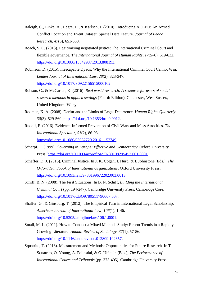- Raleigh, C., Linke, A., Hegre, H., & Karlsen, J. (2010). Introducing ACLED: An Armed Conflict Location and Event Dataset: Special Data Feature. *Journal of Peace Research*, *47*(5), 651-660.
- Roach, S. C. (2013). Legitimising negotiated justice: The International Criminal Court and flexible governance. *The International Journal of Human Rights*, *17*(5–6), 619-632. [https://doi.org/10.1080/13642987.2013.808193.](https://doi.org/10.1080/13642987.2013.808193)
- Robinson, D. (2015). Inescapable Dyads: Why the International Criminal Court Cannot Win. *Leiden Journal of International Law*, *28*(2), 323-347. [https://doi.org/10.1017/S0922156515000102.](https://doi.org/10.1017/S0922156515000102)
- Robson, C., & McCartan, K. (2016). *Real world research: A resource for users of social research methods in applied settings* (Fourth Edition). Chichester, West Sussex, United Kingdom: Wiley.
- Rodman, K. A. (2008). Darfur and the Limits of Legal Deterrence. *Human Rights Quarterly*, *30*(3), 529-560. [https://doi.org/10.1353/hrq.0.0012.](https://doi.org/10.1353/hrq.0.0012)
- Rudolf, P. (2016). Evidence-Informed Prevention of Civil Wars and Mass Atrocities. *The International Spectator*, *51*(2), 86-98. [https://doi.org/10.1080/03932729.2016.1152749.](https://doi.org/10.1080/03932729.2016.1152749)
- Scharpf, F. (1999). *Governing in Europe: Effective and Democratic?* Oxford University Press. [https://doi.org/10.1093/acprof:oso/9780198295457.001.0001.](https://doi.org/10.1093/acprof:oso/9780198295457.001.0001)
- Scheffer, D. J. (2016). Criminal Justice. In J. K. Cogan, I. Hurd, & I. Johnstone (Eds.), *The Oxford Handbook of International Organizations*. Oxford University Press. [https://doi.org/10.1093/law/9780199672202.003.0013.](https://doi.org/10.1093/law/9780199672202.003.0013)
- Schiff, B. N. (2008). The First Situations. In B. N. Schiff, *Building the International Criminal Court* (pp. 194-247). Cambridge University Press; Cambridge Core. [https://doi.org/10.1017/CBO9780511790607.007.](https://doi.org/10.1017/CBO9780511790607.007)
- Shaffer, G., & Ginsburg, T. (2012). The Empirical Turn in International Legal Scholarship. *American Journal of International Law*, *106*(1), 1-46. [https://doi.org/10.5305/amerjintelaw.106.1.0001.](https://doi.org/10.5305/amerjintelaw.106.1.0001)
- Small, M. L. (2011). How to Conduct a Mixed Methods Study: Recent Trends in a Rapidly Growing Literature. *Annual Review of Sociology*, *37*(1), 57-86. [https://doi.org/10.1146/annurev.soc.012809.102657.](https://doi.org/10.1146/annurev.soc.012809.102657)
- Squatrito, T. (2018). Measurement and Methods: Opportunities for Future Research. In T. Squatrito, O. Young, A. Follesdal, & G. Ulfstein (Eds.), *The Performance of International Courts and Tribunals* (pp. 373-405). Cambridge University Press.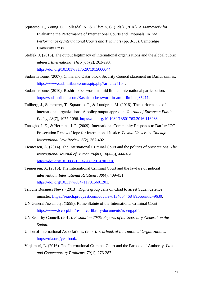- Squatrito, T., Young, O., Follesdal, A., & Ulfstein, G. (Eds.). (2018). A Framework for Evaluating the Performance of International Courts and Tribunals. In *The Performance of International Courts and Tribunals* (pp. 3-35). Cambridge University Press.
- Steffek, J. (2015). The output legitimacy of international organizations and the global public interest. *International Theory*, *7*(2), 263-293. [https://doi.org/10.1017/S1752971915000044.](https://doi.org/10.1017/S1752971915000044)
- Sudan Tribune. (2007). China and Qatar block Security Council statement on Darfur crimes. [https://www.sudantribune.com/spip.php?article25104.](https://www.sudantribune.com/spip.php?article25104)
- Sudan Tribune. (2010). Bashir to be sworn in amid limited international participation. [https://sudantribune.com/Bashir-to-be-sworn-in-amid-limited,35211.](https://sudantribune.com/Bashir-to-be-sworn-in-amid-limited,35211)
- Tallberg, J., Sommerer, T., Squatrito, T., & Lundgren, M. (2016). The performance of international organizations: A policy output approach. *Journal of European Public Policy*, *23*(7), 1077-1096. [https://doi.org/10.1080/13501763.2016.1162834.](https://doi.org/10.1080/13501763.2016.1162834)
- Tanagho, J. E., & Hermina, J. P. (2009). International Community Responds to Darfur: ICC Prosecution Renews Hope for International Justice. *Loyola University Chicago International Law Review*, *6*(2), 367-402.
- Tiemessen, A. (2014). The International Criminal Court and the politics of prosecutions. *The International Journal of Human Rights*, *18*(4–5), 444-461. [https://doi.org/10.1080/13642987.2014.901310.](https://doi.org/10.1080/13642987.2014.901310)
- Tiemessen, A. (2016). The International Criminal Court and the lawfare of judicial intervention. *International Relations*, *30*(4), 409-431. [https://doi.org/10.1177/0047117815601201.](https://doi.org/10.1177/0047117815601201)
- Tribune Business News. (2013). Rights group calls on Chad to arrest Sudan defence minister. [https://search.proquest.com/docview/1346044684?accountid=9630.](https://search.proquest.com/docview/1346044684?accountid=9630)
- UN General Assembly. (1998). Rome Statute of the International Criminal Court. [https://www.icc-cpi.int/resource-library/documents/rs-eng.pdf.](https://www.icc-cpi.int/resource-library/documents/rs-eng.pdf)
- UN Security Council. (2012). *Resolution 2035: Reports of the Secretary-General on the Sudan*.
- Union of International Associations. (2004). *Yearbook of International Organizations*. [https://uia.org/yearbook.](https://uia.org/yearbook)
- Vinjamuri, L. (2016). The International Criminal Court and the Paradox of Authority. *Law and Contemporary Problems*, *79*(1), 276-287.